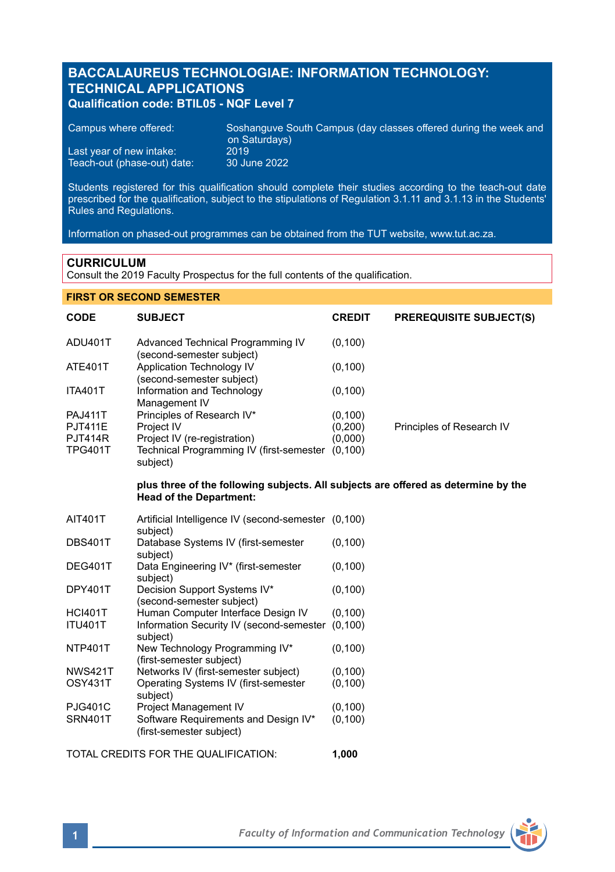# **BACCALAUREUS TECHNOLOGIAE: INFORMATION TECHNOLOGY: TECHNICAL APPLICATIONS Qualification code: BTIL05 - NQF Level 7**

| Campus where offered:                                   | Soshanguve South Campus (day classes offered during the week and<br>on Saturdays) |
|---------------------------------------------------------|-----------------------------------------------------------------------------------|
| Last year of new intake:<br>Teach-out (phase-out) date: | 2019'<br>30 June 2022                                                             |
|                                                         |                                                                                   |

Students registered for this qualification should complete their studies according to the teach-out date prescribed for the qualification, subject to the stipulations of Regulation 3.1.11 and 3.1.13 in the Students' Rules and Regulations.

Information on phased-out programmes can be obtained from the TUT website, www.tut.ac.za.

### **CURRICULUM**

Consult the 2019 Faculty Prospectus for the full contents of the qualification.

# **FIRST OR SECOND SEMESTER**

| <b>CODE</b>    | <b>SUBJECT</b>                                                                                                       | <b>CREDIT</b> | <b>PREREQUISITE SUBJECT(S)</b> |
|----------------|----------------------------------------------------------------------------------------------------------------------|---------------|--------------------------------|
| ADU401T        | Advanced Technical Programming IV<br>(second-semester subject)                                                       | (0, 100)      |                                |
| <b>ATE401T</b> | Application Technology IV<br>(second-semester subject)                                                               | (0, 100)      |                                |
| <b>ITA401T</b> | Information and Technology<br>Management IV                                                                          | (0, 100)      |                                |
| <b>PAJ411T</b> | Principles of Research IV*                                                                                           | (0, 100)      |                                |
| <b>PJT411E</b> | Project IV                                                                                                           | (0, 200)      | Principles of Research IV      |
| <b>PJT414R</b> | Project IV (re-registration)                                                                                         | (0,000)       |                                |
| <b>TPG401T</b> | Technical Programming IV (first-semester (0,100)<br>subject)                                                         |               |                                |
|                | plus three of the following subjects. All subjects are offered as determine by the<br><b>Head of the Department:</b> |               |                                |
| AIT401T        | Artificial Intelligence IV (second-semester (0,100)<br>subject)                                                      |               |                                |
| <b>DBS401T</b> | Database Systems IV (first-semester<br>subject)                                                                      | (0, 100)      |                                |
| DEG401T        | Data Engineering IV* (first-semester<br>subject)                                                                     | (0, 100)      |                                |
| DPY401T        | Decision Support Systems IV*<br>(second-semester subject)                                                            | (0, 100)      |                                |
| <b>HCI401T</b> | Human Computer Interface Design IV                                                                                   | (0, 100)      |                                |
| <b>ITU401T</b> | Information Security IV (second-semester<br>subject)                                                                 | (0, 100)      |                                |
| <b>NTP401T</b> | New Technology Programming IV*<br>(first-semester subject)                                                           | (0, 100)      |                                |
| <b>NWS421T</b> | Networks IV (first-semester subject)                                                                                 | (0, 100)      |                                |
| OSY431T        | Operating Systems IV (first-semester<br>subject)                                                                     | (0, 100)      |                                |
| <b>PJG401C</b> | Project Management IV                                                                                                | (0, 100)      |                                |
| <b>SRN401T</b> | Software Requirements and Design IV*<br>(first-semester subject)                                                     | (0, 100)      |                                |
|                | TOTAL CREDITS FOR THE QUALIFICATION:                                                                                 | 1.000         |                                |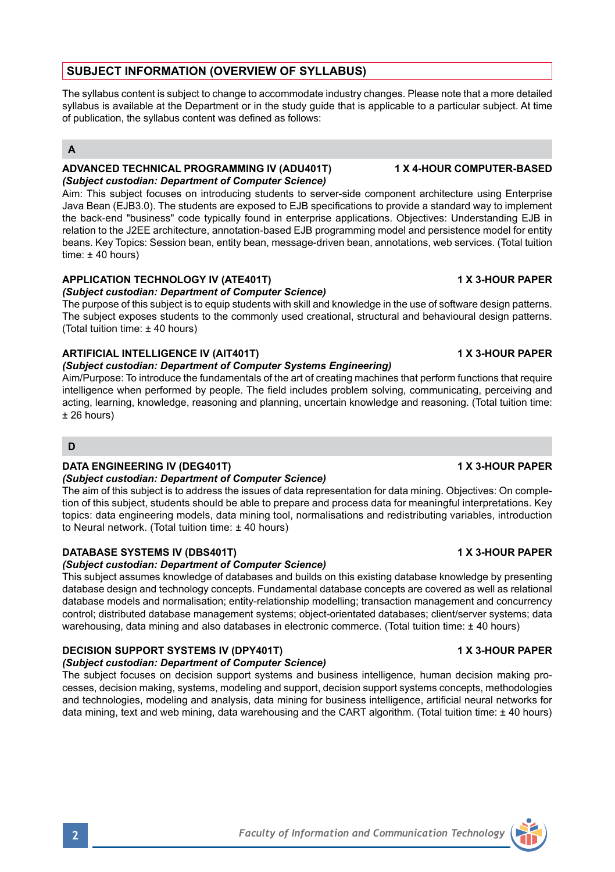# **SUBJECT INFORMATION (OVERVIEW OF SYLLABUS)**

The syllabus content is subject to change to accommodate industry changes. Please note that a more detailed syllabus is available at the Department or in the study quide that is applicable to a particular subject. At time of publication, the syllabus content was defined as follows:

# **A**

### **ADVANCED TECHNICAL PROGRAMMING IV (ADU401T) 1 X 4-HOUR COMPUTER-BASED** *(Subject custodian: Department of Computer Science)*

Aim: This subject focuses on introducing students to server-side component architecture using Enterprise Java Bean (EJB3.0). The students are exposed to EJB specifications to provide a standard way to implement the back-end "business" code typically found in enterprise applications. Objectives: Understanding EJB in relation to the J2EE architecture, annotation-based EJB programming model and persistence model for entity beans. Key Topics: Session bean, entity bean, message-driven bean, annotations, web services. (Total tuition time:  $± 40$  hours)

# **APPLICATION TECHNOLOGY IV (ATE401T) 1 X 3-HOUR PAPER**

### *(Subject custodian: Department of Computer Science)*

The purpose of this subject is to equip students with skill and knowledge in the use of software design patterns. The subject exposes students to the commonly used creational, structural and behavioural design patterns. (Total tuition time: ± 40 hours)

# **ARTIFICIAL INTELLIGENCE IV (AIT401T) 1 X 3-HOUR PAPER**

### *(Subject custodian: Department of Computer Systems Engineering)*

Aim/Purpose: To introduce the fundamentals of the art of creating machines that perform functions that require intelligence when performed by people. The field includes problem solving, communicating, perceiving and acting, learning, knowledge, reasoning and planning, uncertain knowledge and reasoning. (Total tuition time:  $± 26$  hours)

# **D**

#### **DATA ENGINEERING IV (DEG401T) 1 X 3-HOUR PAPER**

### *(Subject custodian: Department of Computer Science)*

The aim of this subject is to address the issues of data representation for data mining. Objectives: On completion of this subject, students should be able to prepare and process data for meaningful interpretations. Key topics: data engineering models, data mining tool, normalisations and redistributing variables, introduction to Neural network. (Total tuition time: ± 40 hours)

# **DATABASE SYSTEMS IV (DBS401T) 1 X 3-HOUR PAPER**

### *(Subject custodian: Department of Computer Science)*

This subject assumes knowledge of databases and builds on this existing database knowledge by presenting database design and technology concepts. Fundamental database concepts are covered as well as relational database models and normalisation; entity-relationship modelling; transaction management and concurrency control; distributed database management systems; object-orientated databases; client/server systems; data warehousing, data mining and also databases in electronic commerce. (Total tuition time: ± 40 hours)

# **DECISION SUPPORT SYSTEMS IV (DPY401T) 1 X 3-HOUR PAPER**

*(Subject custodian: Department of Computer Science)* The subject focuses on decision support systems and business intelligence, human decision making pro-

cesses, decision making, systems, modeling and support, decision support systems concepts, methodologies and technologies, modeling and analysis, data mining for business intelligence, artificial neural networks for data mining, text and web mining, data warehousing and the CART algorithm. (Total tuition time: ± 40 hours)

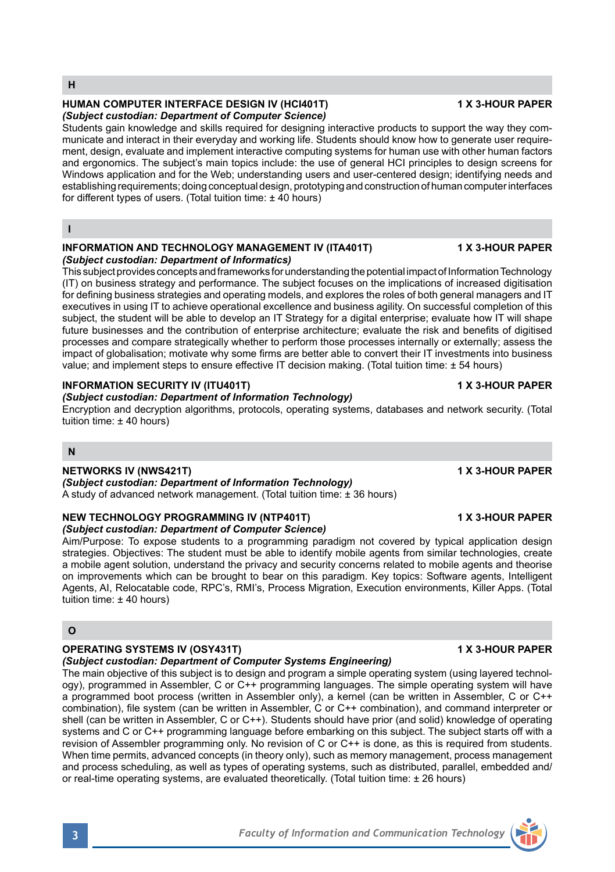#### **HUMAN COMPUTER INTERFACE DESIGN IV (HCI401T) 1 X 3-HOUR PAPER** *(Subject custodian: Department of Computer Science)*

Students gain knowledge and skills required for designing interactive products to support the way they communicate and interact in their everyday and working life. Students should know how to generate user requirement, design, evaluate and implement interactive computing systems for human use with other human factors and ergonomics. The subject's main topics include: the use of general HCI principles to design screens for Windows application and for the Web; understanding users and user-centered design; identifying needs and establishing requirements; doing conceptual design, prototyping and construction of human computer interfaces for different types of users. (Total tuition time: ± 40 hours)

### **I**

#### **INFORMATION AND TECHNOLOGY MANAGEMENT IV (ITA401T) 1 X 3-HOUR PAPER** *(Subject custodian: Department of Informatics)*

This subject provides concepts and frameworks for understanding the potential impact of Information Technology (IT) on business strategy and performance. The subject focuses on the implications of increased digitisation for defining business strategies and operating models, and explores the roles of both general managers and IT executives in using IT to achieve operational excellence and business agility. On successful completion of this subject, the student will be able to develop an IT Strategy for a digital enterprise; evaluate how IT will shape future businesses and the contribution of enterprise architecture; evaluate the risk and benefits of digitised processes and compare strategically whether to perform those processes internally or externally; assess the impact of globalisation; motivate why some firms are better able to convert their IT investments into business value; and implement steps to ensure effective IT decision making. (Total tuition time: ± 54 hours)

# **INFORMATION SECURITY IV (ITU401T) 1 X 3-HOUR PAPER**

# *(Subject custodian: Department of Information Technology)*

Encryption and decryption algorithms, protocols, operating systems, databases and network security. (Total tuition time: ± 40 hours)

### **N**

# **NETWORKS IV (NWS421T) 1 X 3-HOUR PAPER**

*(Subject custodian: Department of Information Technology)* A study of advanced network management. (Total tuition time: ± 36 hours)

#### **NEW TECHNOLOGY PROGRAMMING IV (NTP401T) 1 X 3-HOUR PAPER** *(Subject custodian: Department of Computer Science)*

Aim/Purpose: To expose students to a programming paradigm not covered by typical application design strategies. Objectives: The student must be able to identify mobile agents from similar technologies, create a mobile agent solution, understand the privacy and security concerns related to mobile agents and theorise on improvements which can be brought to bear on this paradigm. Key topics: Software agents, Intelligent Agents, AI, Relocatable code, RPC's, RMI's, Process Migration, Execution environments, Killer Apps. (Total tuition time: ± 40 hours)

# **O**

# **OPERATING SYSTEMS IV (OSY431T) 1 X 3-HOUR PAPER**

#### *(Subject custodian: Department of Computer Systems Engineering)*

The main objective of this subject is to design and program a simple operating system (using layered technology), programmed in Assembler, C or C++ programming languages. The simple operating system will have a programmed boot process (written in Assembler only), a kernel (can be written in Assembler, C or C++ combination), file system (can be written in Assembler, C or C++ combination), and command interpreter or shell (can be written in Assembler, C or C++). Students should have prior (and solid) knowledge of operating systems and C or C++ programming language before embarking on this subject. The subject starts off with a revision of Assembler programming only. No revision of C or C++ is done, as this is required from students. When time permits, advanced concepts (in theory only), such as memory management, process management and process scheduling, as well as types of operating systems, such as distributed, parallel, embedded and/ or real-time operating systems, are evaluated theoretically. (Total tuition time: ± 26 hours)